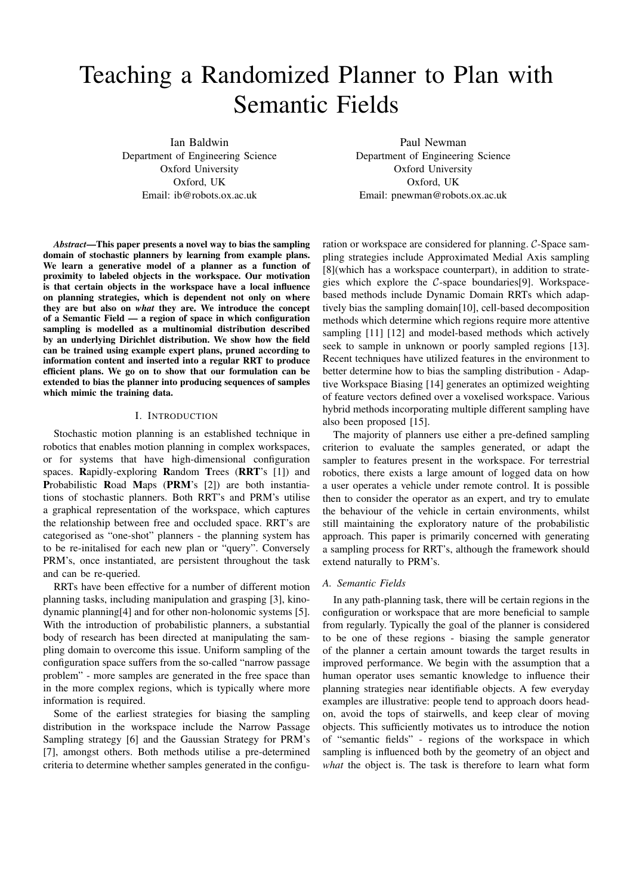# Teaching a Randomized Planner to Plan with Semantic Fields

Ian Baldwin Department of Engineering Science Oxford University Oxford, UK Email: ib@robots.ox.ac.uk

*Abstract*—This paper presents a novel way to bias the sampling domain of stochastic planners by learning from example plans. We learn a generative model of a planner as a function of proximity to labeled objects in the workspace. Our motivation is that certain objects in the workspace have a local influence on planning strategies, which is dependent not only on where they are but also on *what* they are. We introduce the concept of a Semantic Field — a region of space in which configuration sampling is modelled as a multinomial distribution described by an underlying Dirichlet distribution. We show how the field can be trained using example expert plans, pruned according to information content and inserted into a regular RRT to produce efficient plans. We go on to show that our formulation can be extended to bias the planner into producing sequences of samples which mimic the training data.

## I. INTRODUCTION

Stochastic motion planning is an established technique in robotics that enables motion planning in complex workspaces, or for systems that have high-dimensional configuration spaces. Rapidly-exploring Random Trees (RRT's [1]) and Probabilistic Road Maps (PRM's [2]) are both instantiations of stochastic planners. Both RRT's and PRM's utilise a graphical representation of the workspace, which captures the relationship between free and occluded space. RRT's are categorised as "one-shot" planners - the planning system has to be re-initalised for each new plan or "query". Conversely PRM's, once instantiated, are persistent throughout the task and can be re-queried.

RRTs have been effective for a number of different motion planning tasks, including manipulation and grasping [3], kinodynamic planning[4] and for other non-holonomic systems [5]. With the introduction of probabilistic planners, a substantial body of research has been directed at manipulating the sampling domain to overcome this issue. Uniform sampling of the configuration space suffers from the so-called "narrow passage problem" - more samples are generated in the free space than in the more complex regions, which is typically where more information is required.

Some of the earliest strategies for biasing the sampling distribution in the workspace include the Narrow Passage Sampling strategy [6] and the Gaussian Strategy for PRM's [7], amongst others. Both methods utilise a pre-determined criteria to determine whether samples generated in the configu-

Paul Newman Department of Engineering Science Oxford University Oxford, UK Email: pnewman@robots.ox.ac.uk

ration or workspace are considered for planning. C-Space sampling strategies include Approximated Medial Axis sampling [8](which has a workspace counterpart), in addition to strategies which explore the  $C$ -space boundaries[9]. Workspacebased methods include Dynamic Domain RRTs which adaptively bias the sampling domain[10], cell-based decomposition methods which determine which regions require more attentive sampling [11] [12] and model-based methods which actively seek to sample in unknown or poorly sampled regions [13]. Recent techniques have utilized features in the environment to better determine how to bias the sampling distribution - Adaptive Workspace Biasing [14] generates an optimized weighting of feature vectors defined over a voxelised workspace. Various hybrid methods incorporating multiple different sampling have also been proposed [15].

The majority of planners use either a pre-defined sampling criterion to evaluate the samples generated, or adapt the sampler to features present in the workspace. For terrestrial robotics, there exists a large amount of logged data on how a user operates a vehicle under remote control. It is possible then to consider the operator as an expert, and try to emulate the behaviour of the vehicle in certain environments, whilst still maintaining the exploratory nature of the probabilistic approach. This paper is primarily concerned with generating a sampling process for RRT's, although the framework should extend naturally to PRM's.

#### *A. Semantic Fields*

In any path-planning task, there will be certain regions in the configuration or workspace that are more beneficial to sample from regularly. Typically the goal of the planner is considered to be one of these regions - biasing the sample generator of the planner a certain amount towards the target results in improved performance. We begin with the assumption that a human operator uses semantic knowledge to influence their planning strategies near identifiable objects. A few everyday examples are illustrative: people tend to approach doors headon, avoid the tops of stairwells, and keep clear of moving objects. This sufficiently motivates us to introduce the notion of "semantic fields" - regions of the workspace in which sampling is influenced both by the geometry of an object and *what* the object is. The task is therefore to learn what form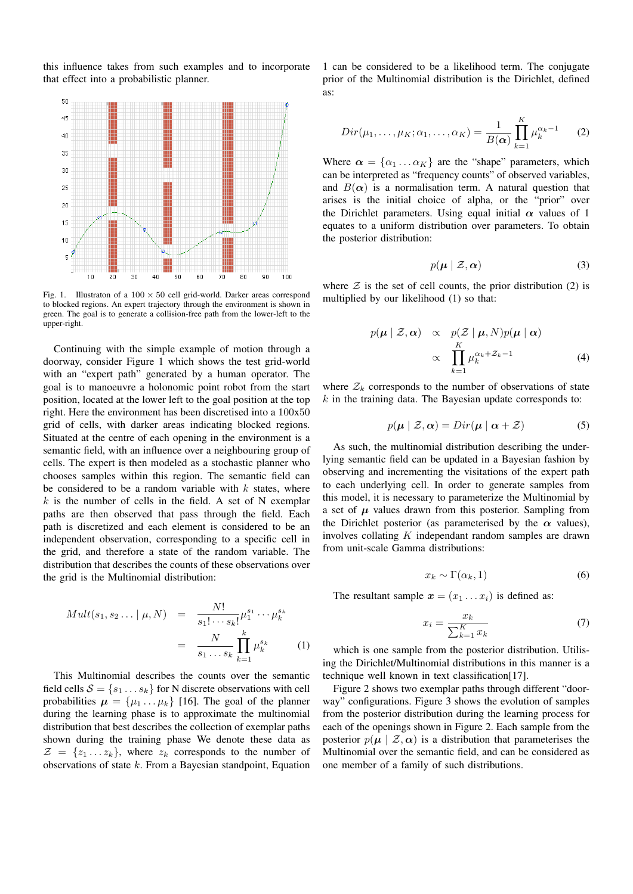this influence takes from such examples and to incorporate that effect into a probabilistic planner.



Fig. 1. Illustraton of a  $100 \times 50$  cell grid-world. Darker areas correspond to blocked regions. An expert trajectory through the environment is shown in green. The goal is to generate a collision-free path from the lower-left to the upper-right.

Continuing with the simple example of motion through a doorway, consider Figure 1 which shows the test grid-world with an "expert path" generated by a human operator. The goal is to manoeuvre a holonomic point robot from the start position, located at the lower left to the goal position at the top right. Here the environment has been discretised into a 100x50 grid of cells, with darker areas indicating blocked regions. Situated at the centre of each opening in the environment is a semantic field, with an influence over a neighbouring group of cells. The expert is then modeled as a stochastic planner who chooses samples within this region. The semantic field can be considered to be a random variable with  $k$  states, where  $k$  is the number of cells in the field. A set of N exemplar paths are then observed that pass through the field. Each path is discretized and each element is considered to be an independent observation, corresponding to a specific cell in the grid, and therefore a state of the random variable. The distribution that describes the counts of these observations over the grid is the Multinomial distribution:

$$
Mult(s_1, s_2 ... | \mu, N) = \frac{N!}{s_1! \cdots s_k!} \mu_1^{s_1} \cdots \mu_k^{s_k}
$$

$$
= \frac{N}{s_1 \cdots s_k} \prod_{k=1}^k \mu_k^{s_k} \qquad (1)
$$

This Multinomial describes the counts over the semantic field cells  $S = \{s_1 \dots s_k\}$  for N discrete observations with cell probabilities  $\mu = {\mu_1 \dots \mu_k}$  [16]. The goal of the planner during the learning phase is to approximate the multinomial distribution that best describes the collection of exemplar paths shown during the training phase We denote these data as  $\mathcal{Z} = \{z_1 \dots z_k\}$ , where  $z_k$  corresponds to the number of observations of state k. From a Bayesian standpoint, Equation 1 can be considered to be a likelihood term. The conjugate prior of the Multinomial distribution is the Dirichlet, defined as:

$$
Dir(\mu_1, \ldots, \mu_K; \alpha_1, \ldots, \alpha_K) = \frac{1}{B(\alpha)} \prod_{k=1}^K \mu_k^{\alpha_k - 1}
$$
 (2)

Where  $\alpha = {\alpha_1 \dots \alpha_K}$  are the "shape" parameters, which can be interpreted as "frequency counts" of observed variables, and  $B(\alpha)$  is a normalisation term. A natural question that arises is the initial choice of alpha, or the "prior" over the Dirichlet parameters. Using equal initial  $\alpha$  values of 1 equates to a uniform distribution over parameters. To obtain the posterior distribution:

$$
p(\boldsymbol{\mu} \mid \mathcal{Z}, \boldsymbol{\alpha}) \tag{3}
$$

where  $\mathcal Z$  is the set of cell counts, the prior distribution (2) is multiplied by our likelihood (1) so that:

$$
p(\boldsymbol{\mu} \mid \mathcal{Z}, \boldsymbol{\alpha}) \propto p(\mathcal{Z} \mid \boldsymbol{\mu}, N) p(\boldsymbol{\mu} \mid \boldsymbol{\alpha})
$$

$$
\propto \prod_{k=1}^{K} \mu_k^{\alpha_k + \mathcal{Z}_k - 1} \tag{4}
$$

where  $\mathcal{Z}_k$  corresponds to the number of observations of state  $k$  in the training data. The Bayesian update corresponds to:

$$
p(\boldsymbol{\mu} \mid \mathcal{Z}, \boldsymbol{\alpha}) = Dir(\boldsymbol{\mu} \mid \boldsymbol{\alpha} + \mathcal{Z}) \tag{5}
$$

As such, the multinomial distribution describing the underlying semantic field can be updated in a Bayesian fashion by observing and incrementing the visitations of the expert path to each underlying cell. In order to generate samples from this model, it is necessary to parameterize the Multinomial by a set of  $\mu$  values drawn from this posterior. Sampling from the Dirichlet posterior (as parameterised by the  $\alpha$  values), involves collating  $K$  independant random samples are drawn from unit-scale Gamma distributions:

$$
x_k \sim \Gamma(\alpha_k, 1) \tag{6}
$$

The resultant sample  $\mathbf{x} = (x_1 \dots x_i)$  is defined as:

$$
x_i = \frac{x_k}{\sum_{k=1}^K x_k} \tag{7}
$$

which is one sample from the posterior distribution. Utilising the Dirichlet/Multinomial distributions in this manner is a technique well known in text classification[17].

Figure 2 shows two exemplar paths through different "doorway" configurations. Figure 3 shows the evolution of samples from the posterior distribution during the learning process for each of the openings shown in Figure 2. Each sample from the posterior  $p(\mu | Z, \alpha)$  is a distribution that parameterises the Multinomial over the semantic field, and can be considered as one member of a family of such distributions.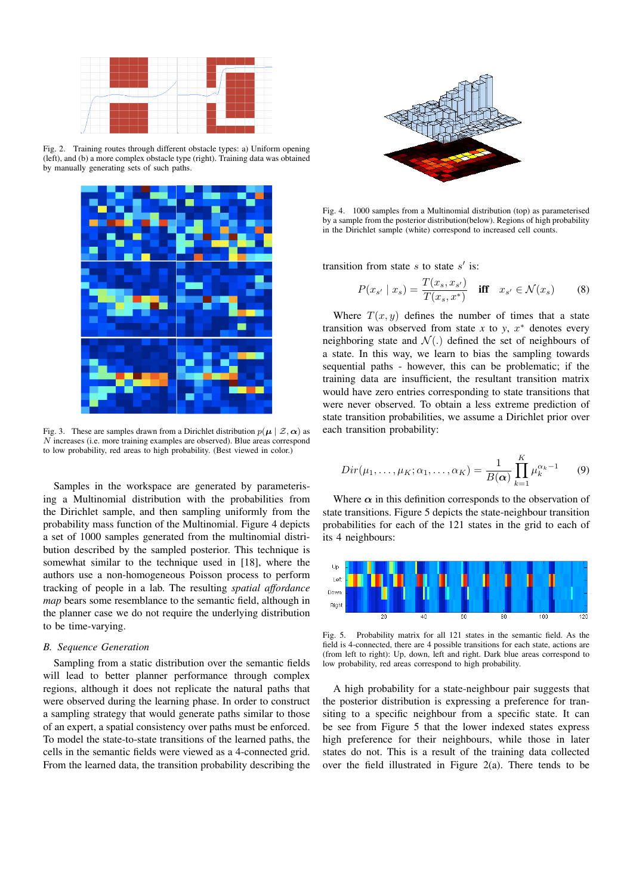

Fig. 2. Training routes through different obstacle types: a) Uniform opening (left), and (b) a more complex obstacle type (right). Training data was obtained by manually generating sets of such paths.



Fig. 3. These are samples drawn from a Dirichlet distribution  $p(\mu \mid \mathcal{Z}, \alpha)$  as N increases (i.e. more training examples are observed). Blue areas correspond to low probability, red areas to high probability. (Best viewed in color.)

Samples in the workspace are generated by parameterising a Multinomial distribution with the probabilities from the Dirichlet sample, and then sampling uniformly from the probability mass function of the Multinomial. Figure 4 depicts a set of 1000 samples generated from the multinomial distribution described by the sampled posterior. This technique is somewhat similar to the technique used in [18], where the authors use a non-homogeneous Poisson process to perform tracking of people in a lab. The resulting *spatial affordance map* bears some resemblance to the semantic field, although in the planner case we do not require the underlying distribution to be time-varying.

### *B. Sequence Generation*

Sampling from a static distribution over the semantic fields will lead to better planner performance through complex regions, although it does not replicate the natural paths that were observed during the learning phase. In order to construct a sampling strategy that would generate paths similar to those of an expert, a spatial consistency over paths must be enforced. To model the state-to-state transitions of the learned paths, the cells in the semantic fields were viewed as a 4-connected grid. From the learned data, the transition probability describing the



Fig. 4. 1000 samples from a Multinomial distribution (top) as parameterised by a sample from the posterior distribution(below). Regions of high probability in the Dirichlet sample (white) correspond to increased cell counts.

transition from state s to state  $s'$  is:

$$
P(x_{s'} \mid x_s) = \frac{T(x_s, x_{s'})}{T(x_s, x^*)} \quad \text{iff} \quad x_{s'} \in \mathcal{N}(x_s) \tag{8}
$$

Where  $T(x, y)$  defines the number of times that a state transition was observed from state  $x$  to  $y$ ,  $x^*$  denotes every neighboring state and  $\mathcal{N}(.)$  defined the set of neighbours of a state. In this way, we learn to bias the sampling towards sequential paths - however, this can be problematic; if the training data are insufficient, the resultant transition matrix would have zero entries corresponding to state transitions that were never observed. To obtain a less extreme prediction of state transition probabilities, we assume a Dirichlet prior over each transition probability:

$$
Dir(\mu_1,\ldots,\mu_K;\alpha_1,\ldots,\alpha_K) = \frac{1}{B(\boldsymbol{\alpha})} \prod_{k=1}^K \mu_k^{\alpha_k - 1}
$$
 (9)

Where  $\alpha$  in this definition corresponds to the observation of state transitions. Figure 5 depicts the state-neighbour transition probabilities for each of the 121 states in the grid to each of its 4 neighbours:



Fig. 5. Probability matrix for all 121 states in the semantic field. As the field is 4-connected, there are 4 possible transitions for each state, actions are (from left to right): Up, down, left and right. Dark blue areas correspond to low probability, red areas correspond to high probability.

A high probability for a state-neighbour pair suggests that the posterior distribution is expressing a preference for transiting to a specific neighbour from a specific state. It can be see from Figure 5 that the lower indexed states express high preference for their neighbours, while those in later states do not. This is a result of the training data collected over the field illustrated in Figure 2(a). There tends to be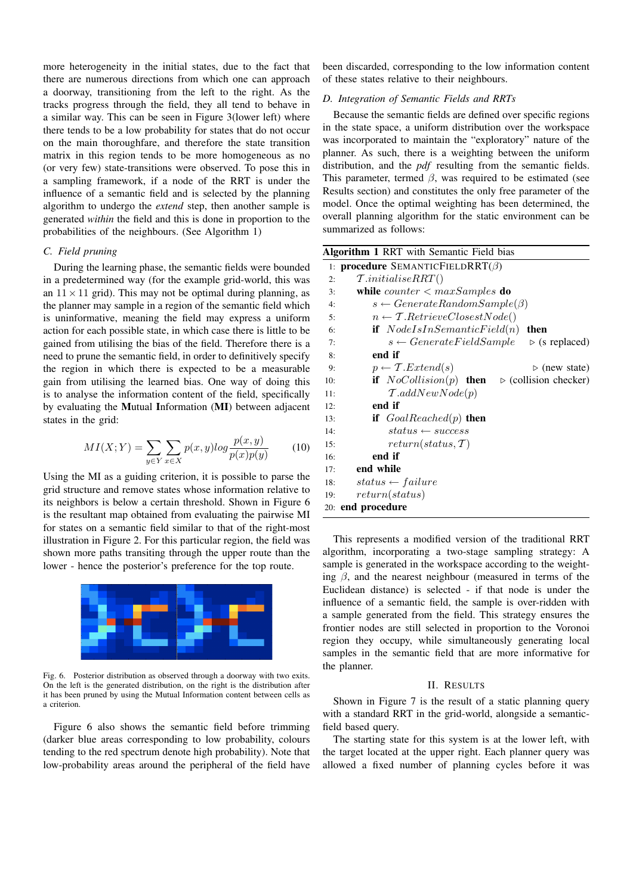more heterogeneity in the initial states, due to the fact that there are numerous directions from which one can approach a doorway, transitioning from the left to the right. As the tracks progress through the field, they all tend to behave in a similar way. This can be seen in Figure 3(lower left) where there tends to be a low probability for states that do not occur on the main thoroughfare, and therefore the state transition matrix in this region tends to be more homogeneous as no (or very few) state-transitions were observed. To pose this in a sampling framework, if a node of the RRT is under the influence of a semantic field and is selected by the planning algorithm to undergo the *extend* step, then another sample is generated *within* the field and this is done in proportion to the probabilities of the neighbours. (See Algorithm 1)

# *C. Field pruning*

During the learning phase, the semantic fields were bounded in a predetermined way (for the example grid-world, this was an  $11 \times 11$  grid). This may not be optimal during planning, as the planner may sample in a region of the semantic field which is uninformative, meaning the field may express a uniform action for each possible state, in which case there is little to be gained from utilising the bias of the field. Therefore there is a need to prune the semantic field, in order to definitively specify the region in which there is expected to be a measurable gain from utilising the learned bias. One way of doing this is to analyse the information content of the field, specifically by evaluating the Mutual Information (MI) between adjacent states in the grid:

$$
MI(X;Y) = \sum_{y \in Y} \sum_{x \in X} p(x,y) \log \frac{p(x,y)}{p(x)p(y)} \tag{10}
$$

Using the MI as a guiding criterion, it is possible to parse the grid structure and remove states whose information relative to its neighbors is below a certain threshold. Shown in Figure 6 is the resultant map obtained from evaluating the pairwise MI for states on a semantic field similar to that of the right-most illustration in Figure 2. For this particular region, the field was shown more paths transiting through the upper route than the lower - hence the posterior's preference for the top route.



Fig. 6. Posterior distribution as observed through a doorway with two exits. On the left is the generated distribution, on the right is the distribution after it has been pruned by using the Mutual Information content between cells as a criterion.

Figure 6 also shows the semantic field before trimming (darker blue areas corresponding to low probability, colours tending to the red spectrum denote high probability). Note that low-probability areas around the peripheral of the field have been discarded, corresponding to the low information content of these states relative to their neighbours.

# *D. Integration of Semantic Fields and RRTs*

Because the semantic fields are defined over specific regions in the state space, a uniform distribution over the workspace was incorporated to maintain the "exploratory" nature of the planner. As such, there is a weighting between the uniform distribution, and the *pdf* resulting from the semantic fields. This parameter, termed  $\beta$ , was required to be estimated (see Results section) and constitutes the only free parameter of the model. Once the optimal weighting has been determined, the overall planning algorithm for the static environment can be summarized as follows:

| Algorithm 1 RRT with Semantic Field bias                                    |
|-----------------------------------------------------------------------------|
| 1: <b>procedure</b> SEMANTICFIELDRRT( $\beta$ )                             |
| $\mathcal{T}.initialise RRT()$<br>2:                                        |
| while counter $\langle$ maxSamples do<br>3:                                 |
| $s \leftarrow GenerateRandomSample(\beta)$<br>4:                            |
| $n \leftarrow \mathcal{T}.RetrieveClosetNode()$<br>5:                       |
| <b>if</b> $NodeIsInSemanticField(n)$ <b>then</b><br>6:                      |
| $s \leftarrow GenerateFieldSample$ $\triangleright$ (s replaced)<br>7:      |
| end if<br>8:                                                                |
| $p \leftarrow \mathcal{T}. Extend(s)$<br>$\triangleright$ (new state)<br>9: |
| if $NoCollision(p)$ then<br>$\triangleright$ (collision checker)<br>10:     |
| $\mathcal{T}.addNewNode(p)$<br>11:                                          |
| end if<br>12:                                                               |
| if $GoalReached(p)$ then<br>13:                                             |
| $status \leftarrow success$<br>14:                                          |
| $return(status, \mathcal{T})$<br>15:                                        |
| end if<br>16:                                                               |
| end while<br>17:                                                            |
| $status \leftarrow failure$<br>18:                                          |
| return(status)<br>19:                                                       |
| 20: end procedure                                                           |

This represents a modified version of the traditional RRT algorithm, incorporating a two-stage sampling strategy: A sample is generated in the workspace according to the weighting  $\beta$ , and the nearest neighbour (measured in terms of the Euclidean distance) is selected - if that node is under the influence of a semantic field, the sample is over-ridden with a sample generated from the field. This strategy ensures the frontier nodes are still selected in proportion to the Voronoi region they occupy, while simultaneously generating local samples in the semantic field that are more informative for the planner.

## II. RESULTS

Shown in Figure 7 is the result of a static planning query with a standard RRT in the grid-world, alongside a semanticfield based query.

The starting state for this system is at the lower left, with the target located at the upper right. Each planner query was allowed a fixed number of planning cycles before it was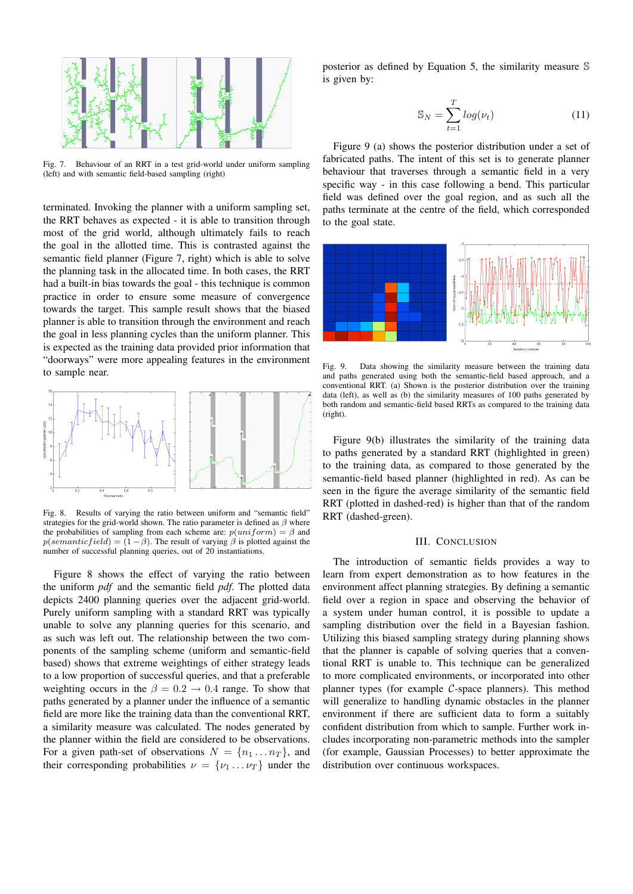

Fig. 7. Behaviour of an RRT in a test grid-world under uniform sampling (left) and with semantic field-based sampling (right)

terminated. Invoking the planner with a uniform sampling set, the RRT behaves as expected - it is able to transition through most of the grid world, although ultimately fails to reach the goal in the allotted time. This is contrasted against the semantic field planner (Figure 7, right) which is able to solve the planning task in the allocated time. In both cases, the RRT had a built-in bias towards the goal - this technique is common practice in order to ensure some measure of convergence towards the target. This sample result shows that the biased planner is able to transition through the environment and reach the goal in less planning cycles than the uniform planner. This is expected as the training data provided prior information that "doorways" were more appealing features in the environment to sample near.



Fig. 8. Results of varying the ratio between uniform and "semantic field" strategies for the grid-world shown. The ratio parameter is defined as  $\beta$  where the probabilities of sampling from each scheme are:  $p(uniform) = \beta$  and  $p(semanticfield) = (1 - \beta)$ . The result of varying  $\beta$  is plotted against the number of successful planning queries, out of 20 instantiations.

Figure 8 shows the effect of varying the ratio between the uniform *pdf* and the semantic field *pdf*. The plotted data depicts 2400 planning queries over the adjacent grid-world. Purely uniform sampling with a standard RRT was typically unable to solve any planning queries for this scenario, and as such was left out. The relationship between the two components of the sampling scheme (uniform and semantic-field based) shows that extreme weightings of either strategy leads to a low proportion of successful queries, and that a preferable weighting occurs in the  $\beta = 0.2 \rightarrow 0.4$  range. To show that paths generated by a planner under the influence of a semantic field are more like the training data than the conventional RRT, a similarity measure was calculated. The nodes generated by the planner within the field are considered to be observations. For a given path-set of observations  $N = \{n_1 \dots n_T\}$ , and their corresponding probabilities  $\nu = {\nu_1 \dots \nu_T}$  under the

posterior as defined by Equation 5, the similarity measure S is given by:

$$
\mathbb{S}_N = \sum_{t=1}^T \log(\nu_t) \tag{11}
$$

Figure 9 (a) shows the posterior distribution under a set of fabricated paths. The intent of this set is to generate planner behaviour that traverses through a semantic field in a very specific way - in this case following a bend. This particular field was defined over the goal region, and as such all the paths terminate at the centre of the field, which corresponded to the goal state.



Fig. 9. Data showing the similarity measure between the training data and paths generated using both the semantic-field based approach, and a conventional RRT. (a) Shown is the posterior distribution over the training data (left), as well as (b) the similarity measures of 100 paths generated by both random and semantic-field based RRTs as compared to the training data (right).

Figure 9(b) illustrates the similarity of the training data to paths generated by a standard RRT (highlighted in green) to the training data, as compared to those generated by the semantic-field based planner (highlighted in red). As can be seen in the figure the average similarity of the semantic field RRT (plotted in dashed-red) is higher than that of the random RRT (dashed-green).

## III. CONCLUSION

The introduction of semantic fields provides a way to learn from expert demonstration as to how features in the environment affect planning strategies. By defining a semantic field over a region in space and observing the behavior of a system under human control, it is possible to update a sampling distribution over the field in a Bayesian fashion. Utilizing this biased sampling strategy during planning shows that the planner is capable of solving queries that a conventional RRT is unable to. This technique can be generalized to more complicated environments, or incorporated into other planner types (for example  $C$ -space planners). This method will generalize to handling dynamic obstacles in the planner environment if there are sufficient data to form a suitably confident distribution from which to sample. Further work includes incorporating non-parametric methods into the sampler (for example, Gaussian Processes) to better approximate the distribution over continuous workspaces.